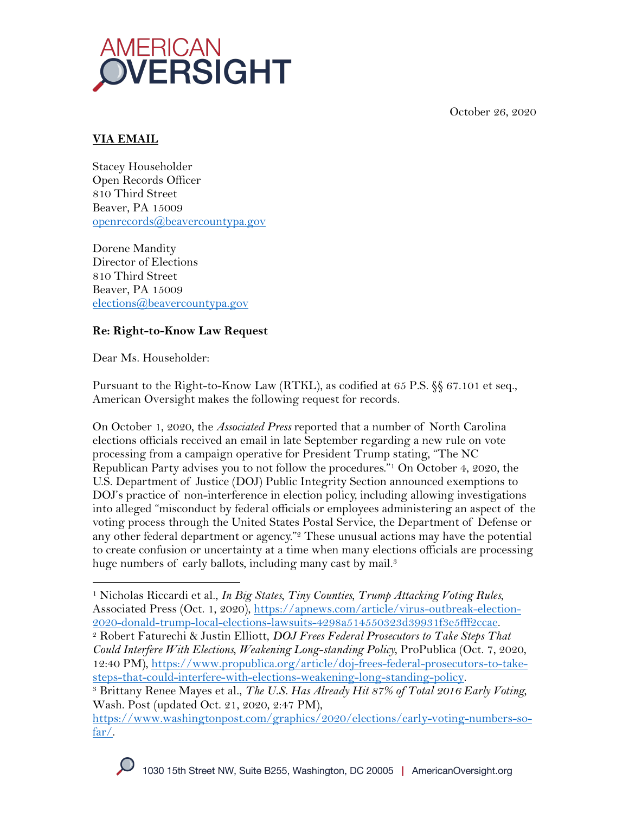October 26, 2020



# **VIA EMAIL**

Stacey Householder Open Records Officer 810 Third Street Beaver, PA 15009 openrecords@beavercountypa.gov

Dorene Mandity Director of Elections 810 Third Street Beaver, PA 15009 elections@beavercountypa.gov

# **Re: Right-to-Know Law Request**

Dear Ms. Householder:

Pursuant to the Right-to-Know Law (RTKL), as codified at 65 P.S. §§ 67.101 et seq., American Oversight makes the following request for records.

On October 1, 2020, the *Associated Press* reported that a number of North Carolina elections officials received an email in late September regarding a new rule on vote processing from a campaign operative for President Trump stating, "The NC Republican Party advises you to not follow the procedures."1 On October 4, 2020, the U.S. Department of Justice (DOJ) Public Integrity Section announced exemptions to DOJ's practice of non-interference in election policy, including allowing investigations into alleged "misconduct by federal officials or employees administering an aspect of the voting process through the United States Postal Service, the Department of Defense or any other federal department or agency."<sup>2</sup> These unusual actions may have the potential to create confusion or uncertainty at a time when many elections officials are processing huge numbers of early ballots, including many cast by mail.<sup>3</sup>

<sup>1</sup> Nicholas Riccardi et al., *In Big States, Tiny Counties, Trump Attacking Voting Rules*, Associated Press (Oct. 1, 2020), https://apnews.com/article/virus-outbreak-election-2020-donald-trump-local-elections-lawsuits-4298a514550323d39931f3e5fff2ccae.

<sup>2</sup> Robert Faturechi & Justin Elliott, *DOJ Frees Federal Prosecutors to Take Steps That Could Interfere With Elections, Weakening Long-standing Policy*, ProPublica (Oct. 7, 2020, 12:40 PM), https://www.propublica.org/article/doj-frees-federal-prosecutors-to-takesteps-that-could-interfere-with-elections-weakening-long-standing-policy.

<sup>3</sup> Brittany Renee Mayes et al., *The U.S. Has Already Hit 87% of Total 2016 Early Voting,*  Wash. Post (updated Oct. 21, 2020, 2:47 PM),

https://www.washingtonpost.com/graphics/2020/elections/early-voting-numbers-sofar/.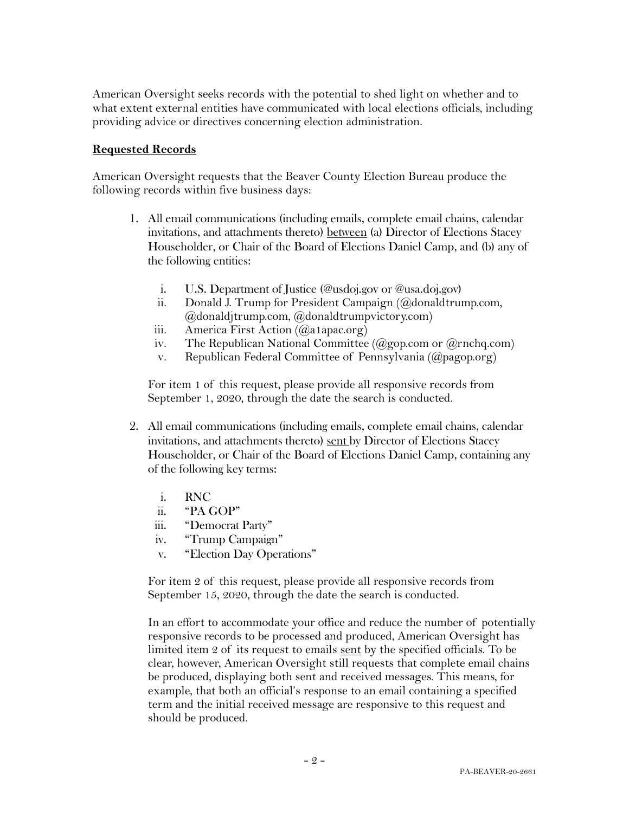American Oversight seeks records with the potential to shed light on whether and to what extent external entities have communicated with local elections officials, including providing advice or directives concerning election administration.

### **Requested Records**

American Oversight requests that the Beaver County Election Bureau produce the following records within five business days:

- 1. All email communications (including emails, complete email chains, calendar invitations, and attachments thereto) between (a) Director of Elections Stacey Householder, or Chair of the Board of Elections Daniel Camp, and (b) any of the following entities:
	- i. U.S. Department of Justice (@usdoj.gov or @usa.doj.gov)
	- ii. Donald J. Trump for President Campaign (@donaldtrump.com, @donaldjtrump.com, @donaldtrumpvictory.com)
	- iii. America First Action  $(Qa1apace.org)$
	- iv. The Republican National Committee ( $(\partial_{\alpha}$ gop.com or  $(\partial_{\alpha})$ rnchq.com)
	- v. Republican Federal Committee of Pennsylvania (@pagop.org)

For item 1 of this request, please provide all responsive records from September 1, 2020, through the date the search is conducted.

- 2. All email communications (including emails, complete email chains, calendar invitations, and attachments thereto) sent by Director of Elections Stacey Householder, or Chair of the Board of Elections Daniel Camp, containing any of the following key terms:
	- i. RNC
	- ii. "PA GOP"<br>iii. "Democrat
	- "Democrat Party"
	- iv. "Trump Campaign"
	- v. "Election Day Operations"

For item 2 of this request, please provide all responsive records from September 15, 2020, through the date the search is conducted.

In an effort to accommodate your office and reduce the number of potentially responsive records to be processed and produced, American Oversight has limited item 2 of its request to emails sent by the specified officials. To be clear, however, American Oversight still requests that complete email chains be produced, displaying both sent and received messages. This means, for example, that both an official's response to an email containing a specified term and the initial received message are responsive to this request and should be produced.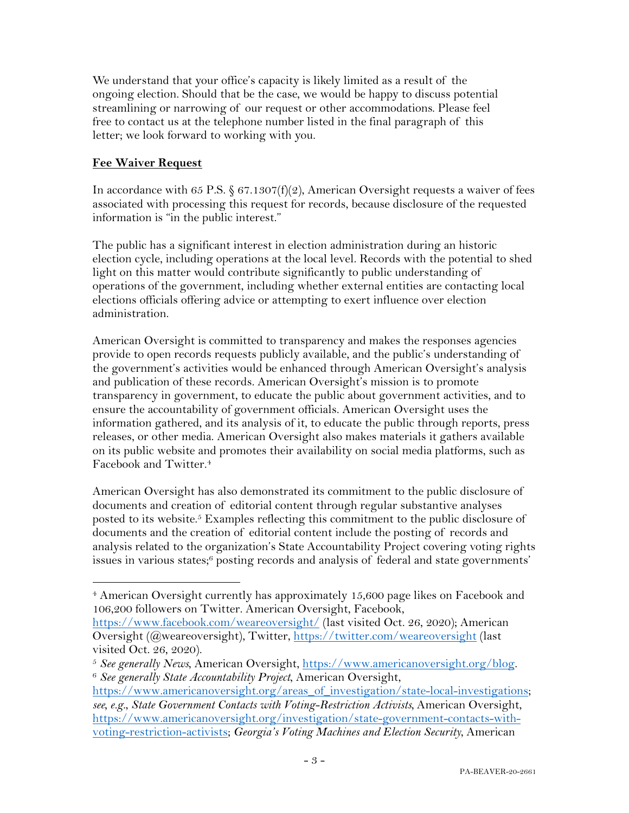We understand that your office's capacity is likely limited as a result of the ongoing election. Should that be the case, we would be happy to discuss potential streamlining or narrowing of our request or other accommodations. Please feel free to contact us at the telephone number listed in the final paragraph of this letter; we look forward to working with you.

## **Fee Waiver Request**

In accordance with 65 P.S.  $\S 67.1307(f)(2)$ , American Oversight requests a waiver of fees associated with processing this request for records, because disclosure of the requested information is "in the public interest."

The public has a significant interest in election administration during an historic election cycle, including operations at the local level. Records with the potential to shed light on this matter would contribute significantly to public understanding of operations of the government, including whether external entities are contacting local elections officials offering advice or attempting to exert influence over election administration.

American Oversight is committed to transparency and makes the responses agencies provide to open records requests publicly available, and the public's understanding of the government's activities would be enhanced through American Oversight's analysis and publication of these records. American Oversight's mission is to promote transparency in government, to educate the public about government activities, and to ensure the accountability of government officials. American Oversight uses the information gathered, and its analysis of it, to educate the public through reports, press releases, or other media. American Oversight also makes materials it gathers available on its public website and promotes their availability on social media platforms, such as Facebook and Twitter.4

American Oversight has also demonstrated its commitment to the public disclosure of documents and creation of editorial content through regular substantive analyses posted to its website.<sup>5</sup> Examples reflecting this commitment to the public disclosure of documents and the creation of editorial content include the posting of records and analysis related to the organization's State Accountability Project covering voting rights issues in various states;<sup>6</sup> posting records and analysis of federal and state governments'

<sup>&</sup>lt;sup>4</sup> American Oversight currently has approximately 15,600 page likes on Facebook and 106,200 followers on Twitter. American Oversight, Facebook,

https://www.facebook.com/weareoversight/ (last visited Oct. 26, 2020); American Oversight (@weareoversight), Twitter, https://twitter.com/weareoversight (last visited Oct. 26, 2020).

<sup>5</sup> *See generally News*, American Oversight, https://www.americanoversight.org/blog. 6 *See generally State Accountability Project*, American Oversight,

https://www.americanoversight.org/areas\_of\_investigation/state-local-investigations; *see, e.g.*, *State Government Contacts with Voting-Restriction Activists,* American Oversight, https://www.americanoversight.org/investigation/state-government-contacts-withvoting-restriction-activists; *Georgia's Voting Machines and Election Security*, American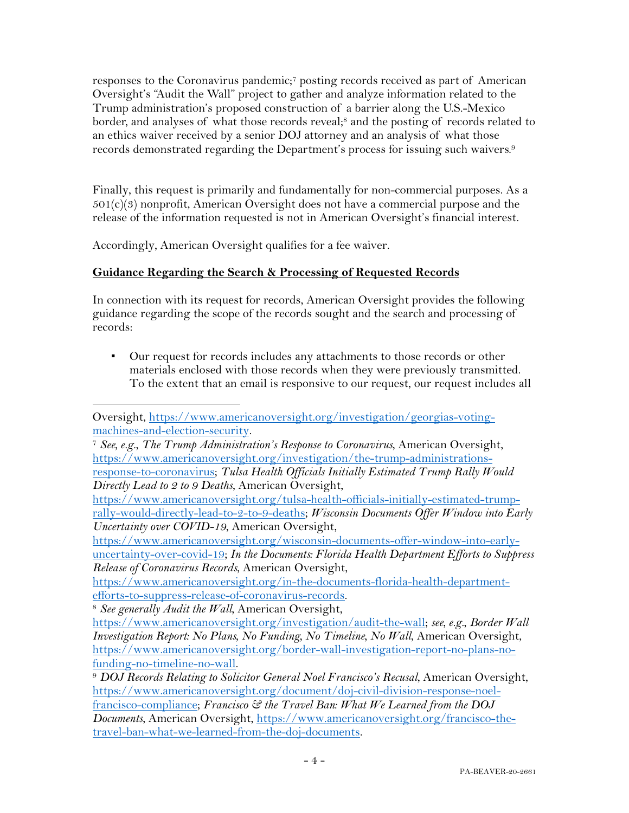responses to the Coronavirus pandemic;7 posting records received as part of American Oversight's "Audit the Wall" project to gather and analyze information related to the Trump administration's proposed construction of a barrier along the U.S.-Mexico border, and analyses of what those records reveal;<sup>8</sup> and the posting of records related to an ethics waiver received by a senior DOJ attorney and an analysis of what those records demonstrated regarding the Department's process for issuing such waivers.9

Finally, this request is primarily and fundamentally for non-commercial purposes. As a  $501(c)(3)$  nonprofit, American Oversight does not have a commercial purpose and the release of the information requested is not in American Oversight's financial interest.

Accordingly, American Oversight qualifies for a fee waiver.

# **Guidance Regarding the Search & Processing of Requested Records**

In connection with its request for records, American Oversight provides the following guidance regarding the scope of the records sought and the search and processing of records:

Our request for records includes any attachments to those records or other materials enclosed with those records when they were previously transmitted. To the extent that an email is responsive to our request, our request includes all

<sup>8</sup> See generally Audit the Wall, American Oversight,

Oversight, https://www.americanoversight.org/investigation/georgias-voting-

machines-and-election-security. 7 *See, e.g.*, *The Trump Administration's Response to Coronavirus*, American Oversight, https://www.americanoversight.org/investigation/the-trump-administrations-

response-to-coronavirus; *Tulsa Health Officials Initially Estimated Trump Rally Would Directly Lead to 2 to 9 Deaths*, American Oversight,

https://www.americanoversight.org/tulsa-health-officials-initially-estimated-trumprally-would-directly-lead-to-2-to-9-deaths; *Wisconsin Documents Offer Window into Early Uncertainty over COVID-19*, American Oversight,

https://www.americanoversight.org/wisconsin-documents-offer-window-into-earlyuncertainty-over-covid-19; *In the Documents: Florida Health Department Efforts to Suppress Release of Coronavirus Records*, American Oversight,

https://www.americanoversight.org/in-the-documents-florida-health-department-

https://www.americanoversight.org/investigation/audit-the-wall; *see, e.g.*, *Border Wall Investigation Report: No Plans, No Funding, No Timeline, No Wall*, American Oversight, https://www.americanoversight.org/border-wall-investigation-report-no-plans-nofunding-no-timeline-no-wall. 9 *DOJ Records Relating to Solicitor General Noel Francisco's Recusal*, American Oversight,

https://www.americanoversight.org/document/doj-civil-division-response-noelfrancisco-compliance; *Francisco & the Travel Ban: What We Learned from the DOJ Documents*, American Oversight, https://www.americanoversight.org/francisco-thetravel-ban-what-we-learned-from-the-doj-documents.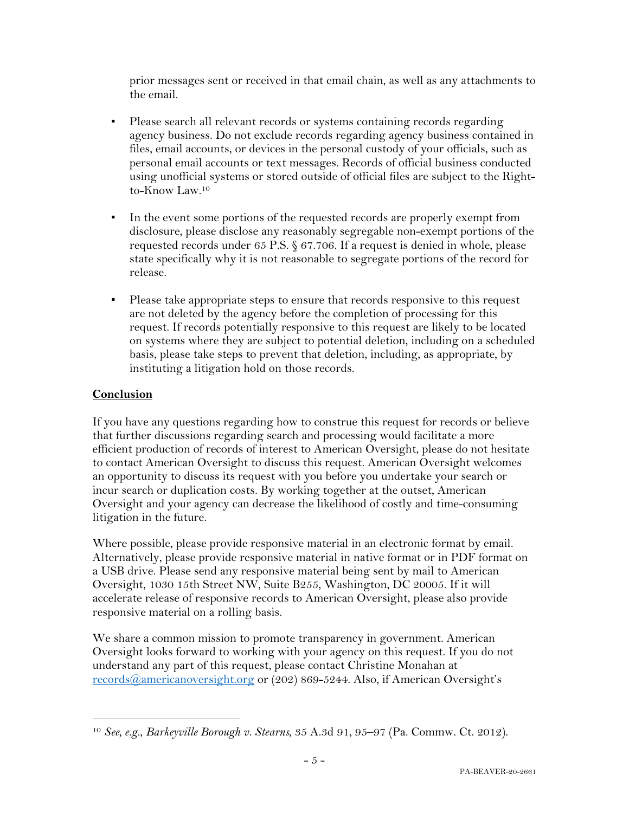prior messages sent or received in that email chain, as well as any attachments to the email.

- Please search all relevant records or systems containing records regarding agency business. Do not exclude records regarding agency business contained in files, email accounts, or devices in the personal custody of your officials, such as personal email accounts or text messages. Records of official business conducted using unofficial systems or stored outside of official files are subject to the Rightto-Know Law.10
- In the event some portions of the requested records are properly exempt from disclosure, please disclose any reasonably segregable non-exempt portions of the requested records under 65 P.S. § 67.706. If a request is denied in whole, please state specifically why it is not reasonable to segregate portions of the record for release.
- Please take appropriate steps to ensure that records responsive to this request are not deleted by the agency before the completion of processing for this request. If records potentially responsive to this request are likely to be located on systems where they are subject to potential deletion, including on a scheduled basis, please take steps to prevent that deletion, including, as appropriate, by instituting a litigation hold on those records.

## **Conclusion**

If you have any questions regarding how to construe this request for records or believe that further discussions regarding search and processing would facilitate a more efficient production of records of interest to American Oversight, please do not hesitate to contact American Oversight to discuss this request. American Oversight welcomes an opportunity to discuss its request with you before you undertake your search or incur search or duplication costs. By working together at the outset, American Oversight and your agency can decrease the likelihood of costly and time-consuming litigation in the future.

Where possible, please provide responsive material in an electronic format by email. Alternatively, please provide responsive material in native format or in PDF format on a USB drive. Please send any responsive material being sent by mail to American Oversight, 1030 15th Street NW, Suite B255, Washington, DC 20005. If it will accelerate release of responsive records to American Oversight, please also provide responsive material on a rolling basis.

We share a common mission to promote transparency in government. American Oversight looks forward to working with your agency on this request. If you do not understand any part of this request, please contact Christine Monahan at records@americanoversight.org or (202) 869-5244. Also, if American Oversight's

<sup>10</sup> *See, e.g.*, *Barkeyville Borough v. Stearns*, 35 A.3d 91, 95–97 (Pa. Commw. Ct. 2012).